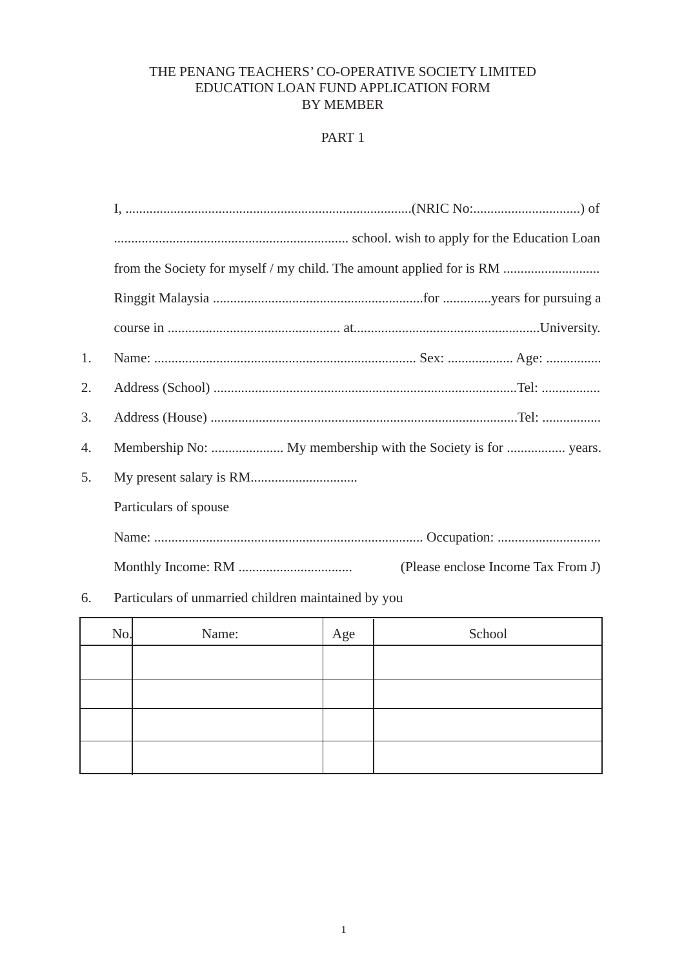### THE PENANG TEACHERS' CO-OPERATIVE SOCIETY LIMITED EDUCATION LOAN FUND APPLICATION FORM **BY MEMBER**

# PART 1

|    | from the Society for myself / my child. The amount applied for is RM |  |  |
|----|----------------------------------------------------------------------|--|--|
|    |                                                                      |  |  |
|    |                                                                      |  |  |
| 1. |                                                                      |  |  |
| 2. |                                                                      |  |  |
| 3. |                                                                      |  |  |
| 4. |                                                                      |  |  |
| 5. |                                                                      |  |  |
|    | Particulars of spouse                                                |  |  |
|    |                                                                      |  |  |
|    | (Please enclose Income Tax From J)                                   |  |  |
|    |                                                                      |  |  |

## 6. Particulars of unmarried children maintained by you

| No. | Name: | Age | School |
|-----|-------|-----|--------|
|     |       |     |        |
|     |       |     |        |
|     |       |     |        |
|     |       |     |        |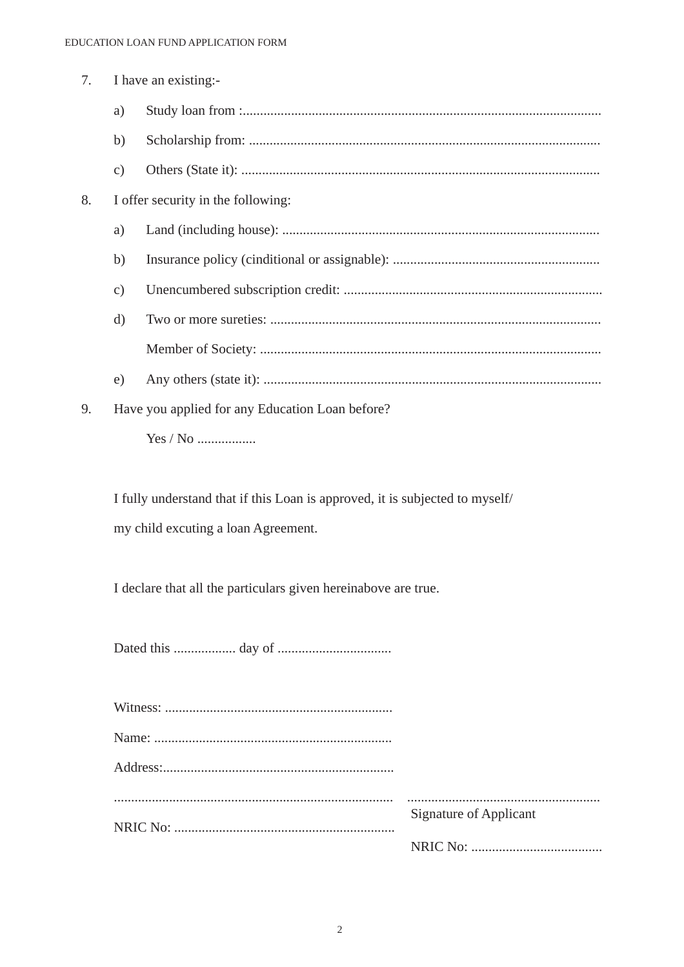| 7. | I have an existing:- |                                                 |
|----|----------------------|-------------------------------------------------|
|    | a)                   |                                                 |
|    | b)                   |                                                 |
|    | $\mathbf{c})$        |                                                 |
| 8. |                      | I offer security in the following:              |
|    | a)                   |                                                 |
|    | b)                   |                                                 |
|    | $\mathbf{c})$        |                                                 |
|    | $\rm d$              |                                                 |
|    |                      |                                                 |
|    | e)                   |                                                 |
| 9. |                      | Have you applied for any Education Loan before? |
|    |                      |                                                 |

I fully understand that if this Loan is approved, it is subjected to myself/ my child excuting a loan Agreement.

I declare that all the particulars given hereinabove are true.

| <b>Signature of Applicant</b> |
|-------------------------------|
|                               |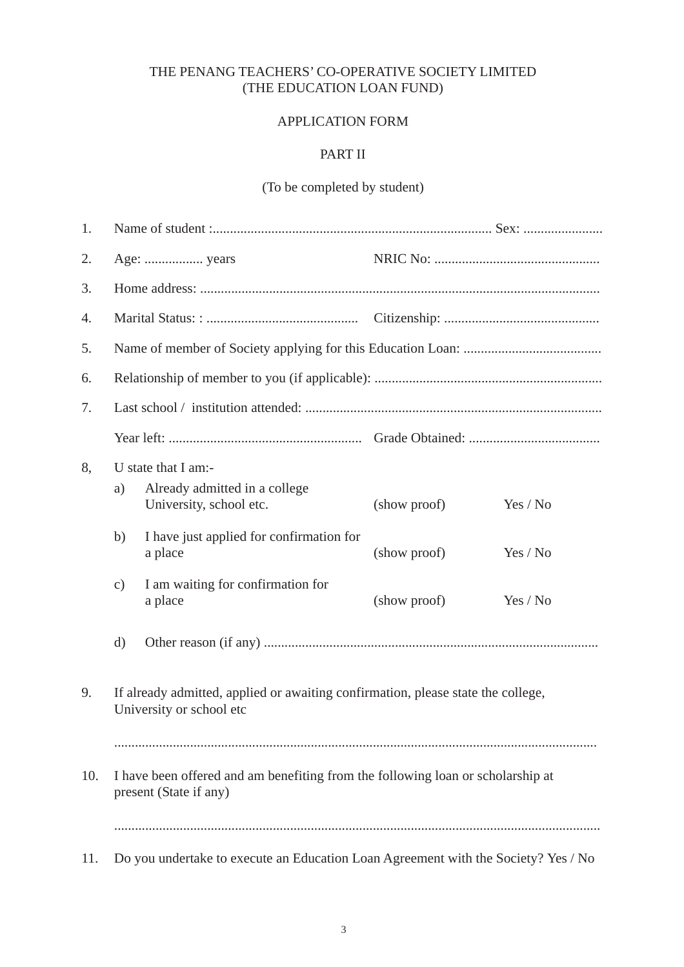## THE PENANG TEACHERS' CO-OPERATIVE SOCIETY LIMITED (THE EDUCATION LOAN FUND)

#### APPLICATION FORM

#### PART II

# (To be completed by student)

| 1.  |                                                                                                              |                                                                                    |              |          |
|-----|--------------------------------------------------------------------------------------------------------------|------------------------------------------------------------------------------------|--------------|----------|
| 2.  |                                                                                                              |                                                                                    |              |          |
| 3.  |                                                                                                              |                                                                                    |              |          |
| 4.  |                                                                                                              |                                                                                    |              |          |
| 5.  |                                                                                                              |                                                                                    |              |          |
| 6.  |                                                                                                              |                                                                                    |              |          |
| 7.  |                                                                                                              |                                                                                    |              |          |
|     |                                                                                                              |                                                                                    |              |          |
| 8,  | a)                                                                                                           | U state that I am:-<br>Already admitted in a college<br>University, school etc.    | (show proof) | Yes / No |
|     | b)                                                                                                           | I have just applied for confirmation for<br>a place                                | (show proof) | Yes / No |
|     | $\mathbf{c})$                                                                                                | I am waiting for confirmation for<br>a place                                       | (show proof) | Yes / No |
|     | d)                                                                                                           |                                                                                    |              |          |
| 9.  | If already admitted, applied or awaiting confirmation, please state the college,<br>University or school etc |                                                                                    |              |          |
|     |                                                                                                              |                                                                                    |              |          |
| 10. | I have been offered and am benefiting from the following loan or scholarship at<br>present (State if any)    |                                                                                    |              |          |
|     |                                                                                                              |                                                                                    |              |          |
| 11. |                                                                                                              | Do you undertake to execute an Education Loan Agreement with the Society? Yes / No |              |          |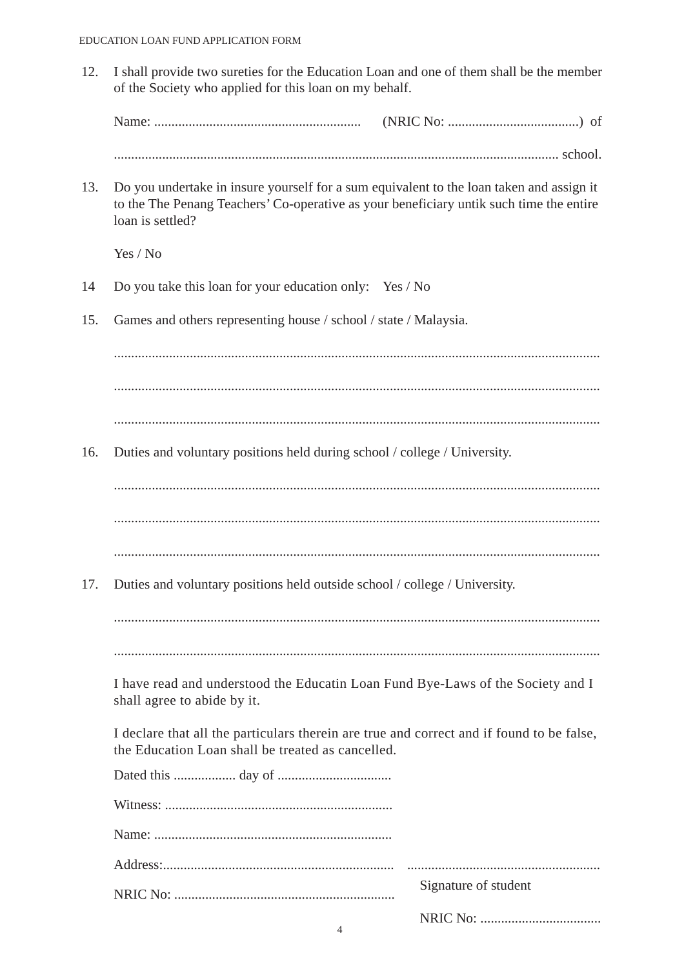12. I shall provide two sureties for the Education Loan and one of them shall be the member of the Society who applied for this loan on my behalf.

13. Do you undertake in insure yourself for a sum equivalent to the loan taken and assign it to the The Penang Teachers' Co-operative as your beneficiary untik such time the entire loan is settled?

Yes / No

- 14 Do you take this loan for your education only: Yes / No
- 15. Games and others representing house / school / state / Malaysia.

............................................................................................................................................. ............................................................................................................................................. .............................................................................................................................................

16. Duties and voluntary positions held during school / college / University.

.............................................................................................................................................

.............................................................................................................................................

.............................................................................................................................................

17. Duties and voluntary positions held outside school / college / University.

............................................................................................................................................. .............................................................................................................................................

I have read and understood the Educatin Loan Fund Bye-Laws of the Society and I shall agree to abide by it.

I declare that all the particulars therein are true and correct and if found to be false, the Education Loan shall be treated as cancelled.

| Signature of student |
|----------------------|
|                      |